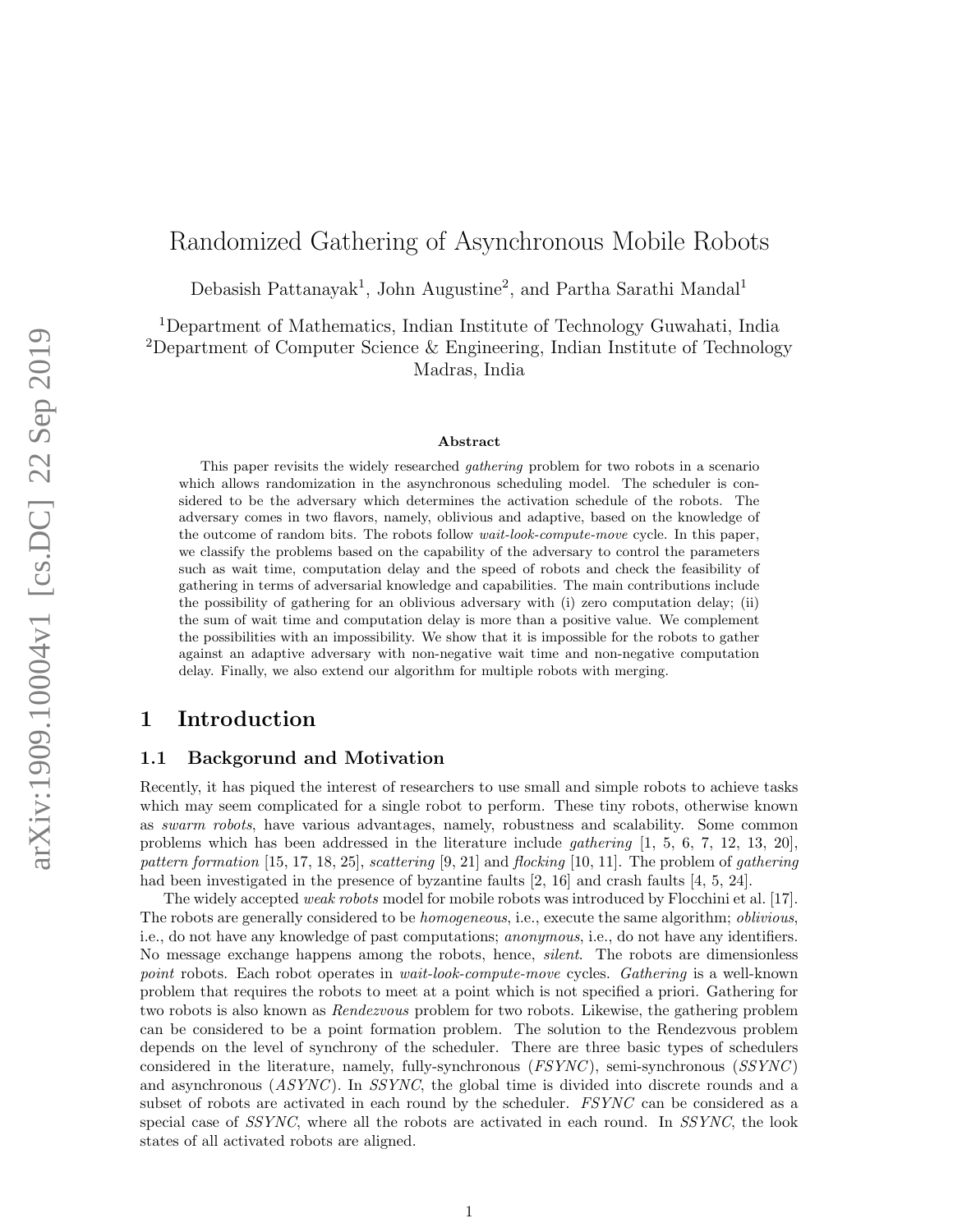# Randomized Gathering of Asynchronous Mobile Robots

Debasish Pattanayak<sup>1</sup>, John Augustine<sup>2</sup>, and Partha Sarathi Mandal<sup>1</sup>

<sup>1</sup>Department of Mathematics, Indian Institute of Technology Guwahati, India <sup>2</sup>Department of Computer Science  $\&$  Engineering, Indian Institute of Technology Madras, India

#### Abstract

This paper revisits the widely researched *gathering* problem for two robots in a scenario which allows randomization in the asynchronous scheduling model. The scheduler is considered to be the adversary which determines the activation schedule of the robots. The adversary comes in two flavors, namely, oblivious and adaptive, based on the knowledge of the outcome of random bits. The robots follow wait-look-compute-move cycle. In this paper, we classify the problems based on the capability of the adversary to control the parameters such as wait time, computation delay and the speed of robots and check the feasibility of gathering in terms of adversarial knowledge and capabilities. The main contributions include the possibility of gathering for an oblivious adversary with (i) zero computation delay; (ii) the sum of wait time and computation delay is more than a positive value. We complement the possibilities with an impossibility. We show that it is impossible for the robots to gather against an adaptive adversary with non-negative wait time and non-negative computation delay. Finally, we also extend our algorithm for multiple robots with merging.

## 1 Introduction

#### 1.1 Backgorund and Motivation

Recently, it has piqued the interest of researchers to use small and simple robots to achieve tasks which may seem complicated for a single robot to perform. These tiny robots, otherwise known as swarm robots, have various advantages, namely, robustness and scalability. Some common problems which has been addressed in the literature include *gathering*  $[1, 5, 6, 7, 12, 13, 20]$ , pattern formation  $[15, 17, 18, 25]$ , scattering  $[9, 21]$  and flocking  $[10, 11]$ . The problem of gathering had been investigated in the presence of byzantine faults [2, 16] and crash faults [4, 5, 24].

The widely accepted weak robots model for mobile robots was introduced by Flocchini et al. [17]. The robots are generally considered to be *homogeneous*, i.e., execute the same algorithm; *oblivious*, i.e., do not have any knowledge of past computations; anonymous, i.e., do not have any identifiers. No message exchange happens among the robots, hence, *silent*. The robots are dimensionless point robots. Each robot operates in *wait-look-compute-move* cycles. Gathering is a well-known problem that requires the robots to meet at a point which is not specified a priori. Gathering for two robots is also known as *Rendezvous* problem for two robots. Likewise, the gathering problem can be considered to be a point formation problem. The solution to the Rendezvous problem depends on the level of synchrony of the scheduler. There are three basic types of schedulers considered in the literature, namely, fully-synchronous (FSYNC), semi-synchronous (SSYNC) and asynchronous  $(ASYNC)$ . In  $SSYNC$ , the global time is divided into discrete rounds and a subset of robots are activated in each round by the scheduler. FSYNC can be considered as a special case of SSYNC, where all the robots are activated in each round. In SSYNC, the look states of all activated robots are aligned.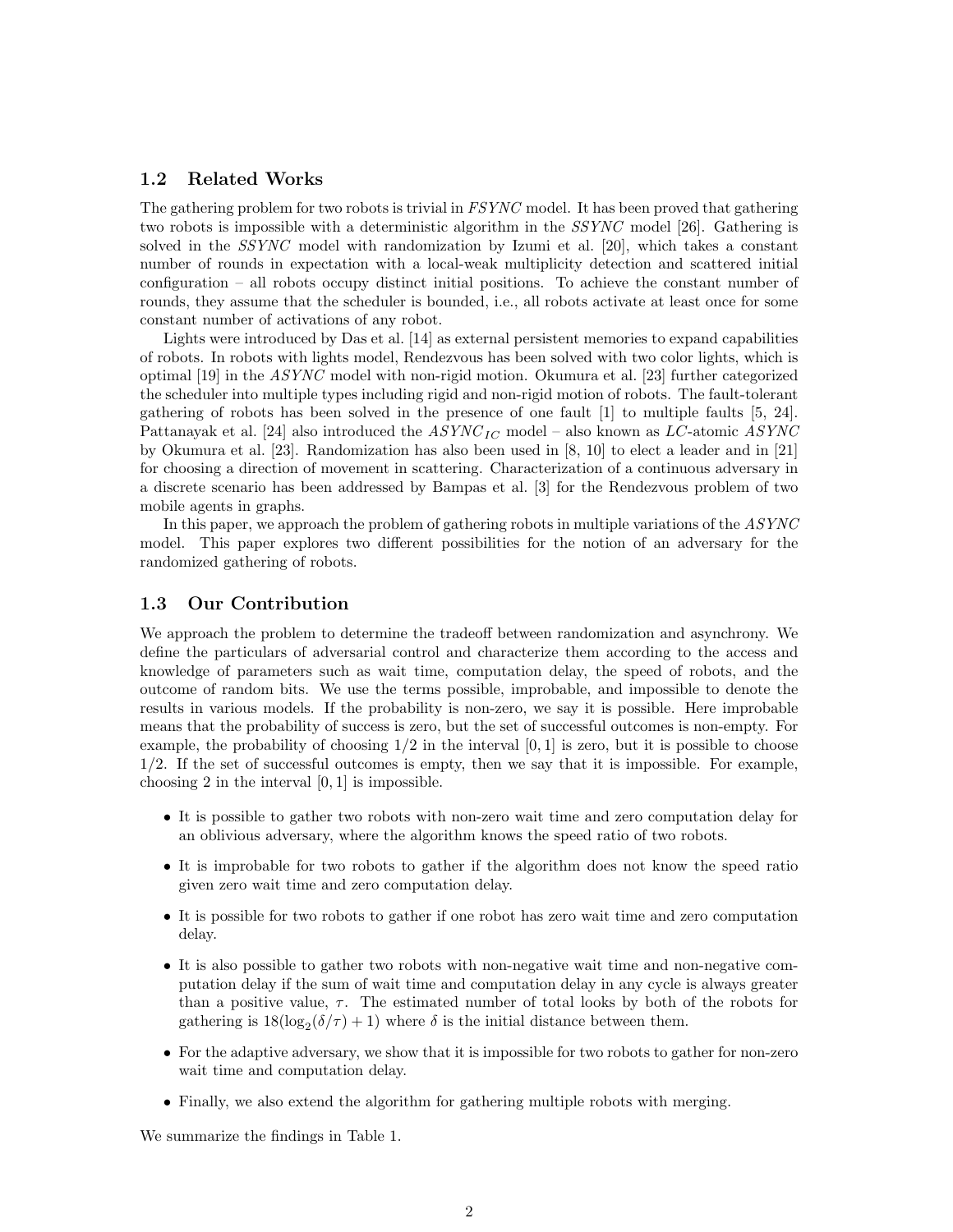#### 1.2 Related Works

The gathering problem for two robots is trivial in FSYNC model. It has been proved that gathering two robots is impossible with a deterministic algorithm in the SSYNC model [26]. Gathering is solved in the SSYNC model with randomization by Izumi et al. [20], which takes a constant number of rounds in expectation with a local-weak multiplicity detection and scattered initial configuration – all robots occupy distinct initial positions. To achieve the constant number of rounds, they assume that the scheduler is bounded, i.e., all robots activate at least once for some constant number of activations of any robot.

Lights were introduced by Das et al. [14] as external persistent memories to expand capabilities of robots. In robots with lights model, Rendezvous has been solved with two color lights, which is optimal [19] in the ASYNC model with non-rigid motion. Okumura et al. [23] further categorized the scheduler into multiple types including rigid and non-rigid motion of robots. The fault-tolerant gathering of robots has been solved in the presence of one fault [1] to multiple faults [5, 24]. Pattanayak et al. [24] also introduced the  $ASYNC_{IC}$  model – also known as  $LC$ -atomic  $ASYNC$ by Okumura et al. [23]. Randomization has also been used in [8, 10] to elect a leader and in [21] for choosing a direction of movement in scattering. Characterization of a continuous adversary in a discrete scenario has been addressed by Bampas et al. [3] for the Rendezvous problem of two mobile agents in graphs.

In this paper, we approach the problem of gathering robots in multiple variations of the ASYNC model. This paper explores two different possibilities for the notion of an adversary for the randomized gathering of robots.

#### 1.3 Our Contribution

We approach the problem to determine the tradeoff between randomization and asynchrony. We define the particulars of adversarial control and characterize them according to the access and knowledge of parameters such as wait time, computation delay, the speed of robots, and the outcome of random bits. We use the terms possible, improbable, and impossible to denote the results in various models. If the probability is non-zero, we say it is possible. Here improbable means that the probability of success is zero, but the set of successful outcomes is non-empty. For example, the probability of choosing  $1/2$  in the interval  $[0, 1]$  is zero, but it is possible to choose 1/2. If the set of successful outcomes is empty, then we say that it is impossible. For example, choosing 2 in the interval  $[0, 1]$  is impossible.

- It is possible to gather two robots with non-zero wait time and zero computation delay for an oblivious adversary, where the algorithm knows the speed ratio of two robots.
- It is improbable for two robots to gather if the algorithm does not know the speed ratio given zero wait time and zero computation delay.
- It is possible for two robots to gather if one robot has zero wait time and zero computation delay.
- It is also possible to gather two robots with non-negative wait time and non-negative computation delay if the sum of wait time and computation delay in any cycle is always greater than a positive value,  $\tau$ . The estimated number of total looks by both of the robots for gathering is  $18(\log_2(\delta/\tau) + 1)$  where  $\delta$  is the initial distance between them.
- For the adaptive adversary, we show that it is impossible for two robots to gather for non-zero wait time and computation delay.
- Finally, we also extend the algorithm for gathering multiple robots with merging.

We summarize the findings in Table 1.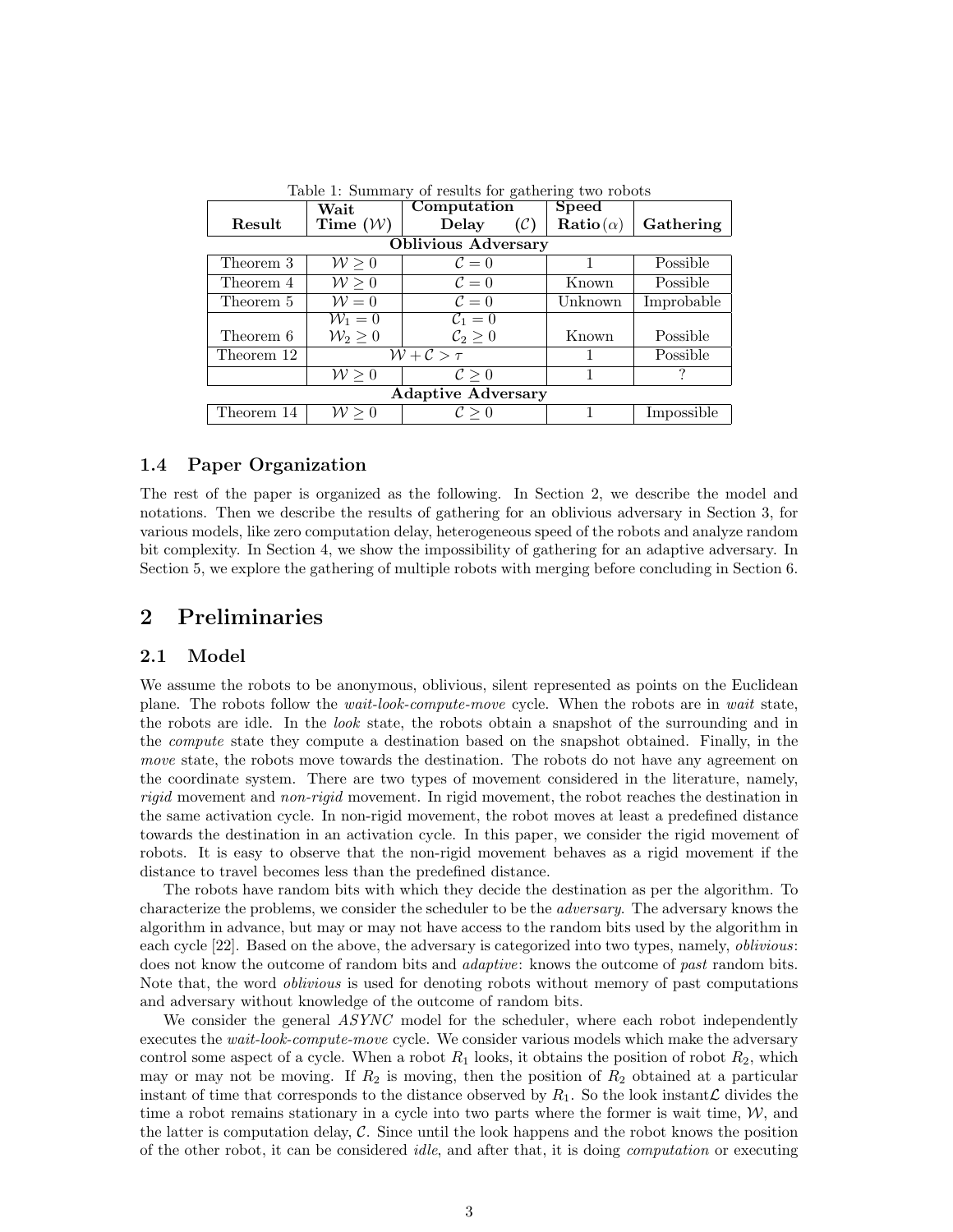|                            | Wait                  | Computation              | <b>Speed</b>                        |            |
|----------------------------|-----------------------|--------------------------|-------------------------------------|------------|
| Result                     | Time $(\mathcal{W})$  | Delay<br>$(\mathcal{C})$ | $\mathbf{Ratio}\left(\alpha\right)$ | Gathering  |
| <b>Oblivious Adversary</b> |                       |                          |                                     |            |
| Theorem 3                  | $W \geq 0$            | $\mathcal{C}=0$          |                                     | Possible   |
| Theorem 4                  | W > 0                 | $\mathcal{C}=0$          | Known                               | Possible   |
| Theorem 5                  | $\mathcal{W}=0$       | $\mathcal{C}=0$          | Unknown                             | Improbable |
|                            | $W_1=0$               | $\mathcal{C}_1=0$        |                                     |            |
| Theorem 6                  | $\mathcal{W}_2\geq 0$ | $\mathcal{C}_2\geq 0$    | Known                               | Possible   |
| Theorem 12                 | $W + C > \tau$        |                          |                                     | Possible   |
|                            | $\mathcal{W} \geq 0$  | $\mathcal{C} > 0$        |                                     | ?          |
| <b>Adaptive Adversary</b>  |                       |                          |                                     |            |
| Theorem 14                 | $\mathcal{W} \geq 0$  | $\mathcal{C} > 0$        |                                     | Impossible |

Table 1: Summary of results for gathering two robots

#### 1.4 Paper Organization

The rest of the paper is organized as the following. In Section 2, we describe the model and notations. Then we describe the results of gathering for an oblivious adversary in Section 3, for various models, like zero computation delay, heterogeneous speed of the robots and analyze random bit complexity. In Section 4, we show the impossibility of gathering for an adaptive adversary. In Section 5, we explore the gathering of multiple robots with merging before concluding in Section 6.

# 2 Preliminaries

#### 2.1 Model

We assume the robots to be anonymous, oblivious, silent represented as points on the Euclidean plane. The robots follow the wait-look-compute-move cycle. When the robots are in wait state, the robots are idle. In the *look* state, the robots obtain a snapshot of the surrounding and in the compute state they compute a destination based on the snapshot obtained. Finally, in the move state, the robots move towards the destination. The robots do not have any agreement on the coordinate system. There are two types of movement considered in the literature, namely, rigid movement and non-rigid movement. In rigid movement, the robot reaches the destination in the same activation cycle. In non-rigid movement, the robot moves at least a predefined distance towards the destination in an activation cycle. In this paper, we consider the rigid movement of robots. It is easy to observe that the non-rigid movement behaves as a rigid movement if the distance to travel becomes less than the predefined distance.

The robots have random bits with which they decide the destination as per the algorithm. To characterize the problems, we consider the scheduler to be the adversary. The adversary knows the algorithm in advance, but may or may not have access to the random bits used by the algorithm in each cycle [22]. Based on the above, the adversary is categorized into two types, namely, *oblivious*: does not know the outcome of random bits and *adaptive*: knows the outcome of past random bits. Note that, the word *oblivious* is used for denoting robots without memory of past computations and adversary without knowledge of the outcome of random bits.

We consider the general ASYNC model for the scheduler, where each robot independently executes the *wait-look-compute-move* cycle. We consider various models which make the adversary control some aspect of a cycle. When a robot  $R_1$  looks, it obtains the position of robot  $R_2$ , which may or may not be moving. If  $R_2$  is moving, then the position of  $R_2$  obtained at a particular instant of time that corresponds to the distance observed by  $R_1$ . So the look instant L divides the time a robot remains stationary in a cycle into two parts where the former is wait time,  $W$ , and the latter is computation delay,  $\mathcal C$ . Since until the look happens and the robot knows the position of the other robot, it can be considered *idle*, and after that, it is doing *computation* or executing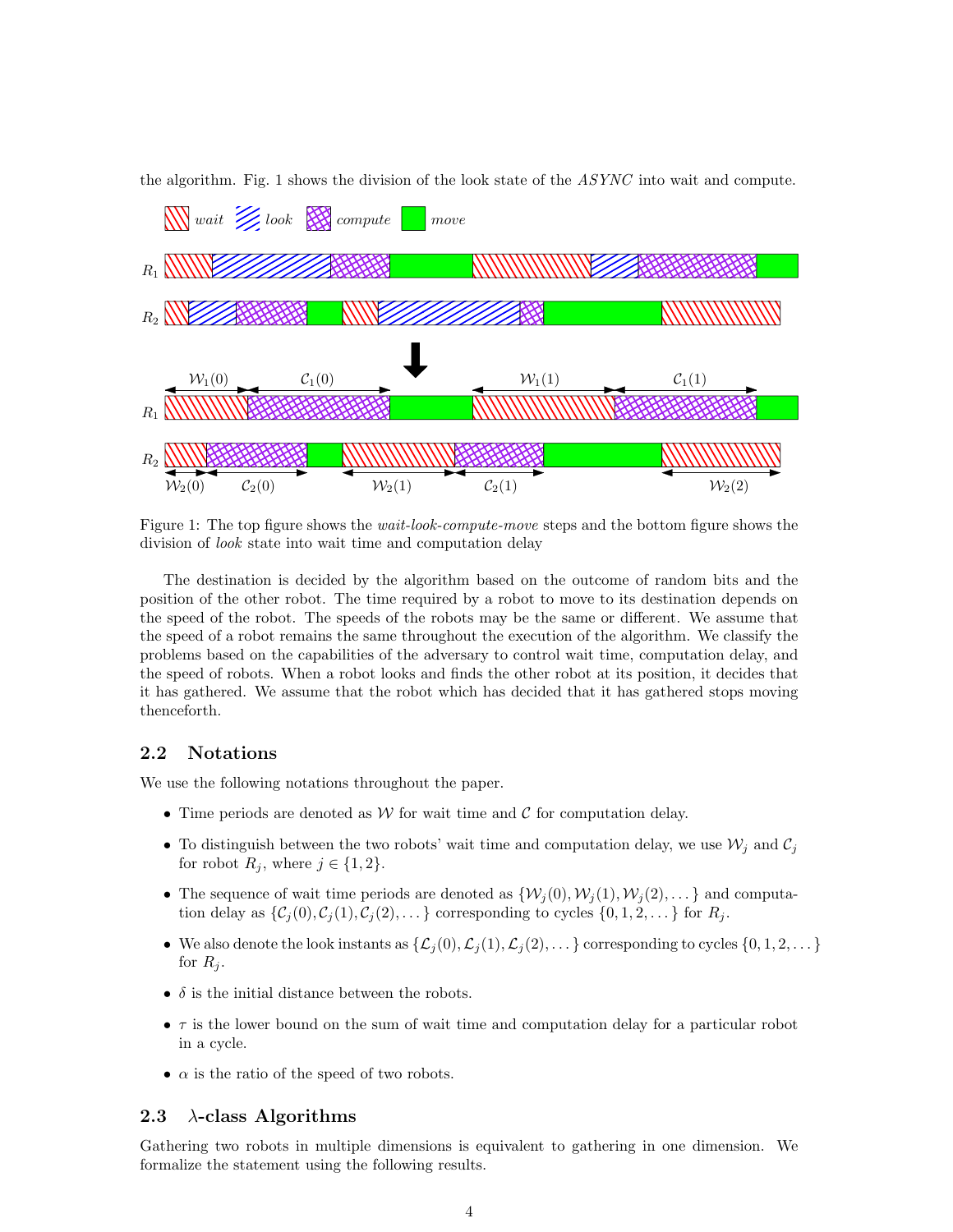

the algorithm. Fig. 1 shows the division of the look state of the ASYNC into wait and compute.

Figure 1: The top figure shows the *wait-look-compute-move* steps and the bottom figure shows the division of look state into wait time and computation delay

The destination is decided by the algorithm based on the outcome of random bits and the position of the other robot. The time required by a robot to move to its destination depends on the speed of the robot. The speeds of the robots may be the same or different. We assume that the speed of a robot remains the same throughout the execution of the algorithm. We classify the problems based on the capabilities of the adversary to control wait time, computation delay, and the speed of robots. When a robot looks and finds the other robot at its position, it decides that it has gathered. We assume that the robot which has decided that it has gathered stops moving thenceforth.

#### 2.2 Notations

We use the following notations throughout the paper.

- Time periods are denoted as  $W$  for wait time and  $C$  for computation delay.
- To distinguish between the two robots' wait time and computation delay, we use  $\mathcal{W}_i$  and  $\mathcal{C}_i$ for robot  $R_i$ , where  $j \in \{1, 2\}$ .
- The sequence of wait time periods are denoted as  $\{W_i(0), W_i(1), W_i(2), \ldots\}$  and computation delay as  $\{\mathcal{C}_j(0), \mathcal{C}_j(1), \mathcal{C}_j(2), \ldots\}$  corresponding to cycles  $\{0, 1, 2, \ldots\}$  for  $R_j$ .
- We also denote the look instants as  $\{\mathcal{L}_j(0), \mathcal{L}_j(1), \mathcal{L}_j(2), \ldots\}$  corresponding to cycles  $\{0, 1, 2, \ldots\}$ for  $R_i$ .
- $\delta$  is the initial distance between the robots.
- $\bullet$   $\tau$  is the lower bound on the sum of wait time and computation delay for a particular robot in a cycle.
- $\alpha$  is the ratio of the speed of two robots.

#### 2.3  $\lambda$ -class Algorithms

Gathering two robots in multiple dimensions is equivalent to gathering in one dimension. We formalize the statement using the following results.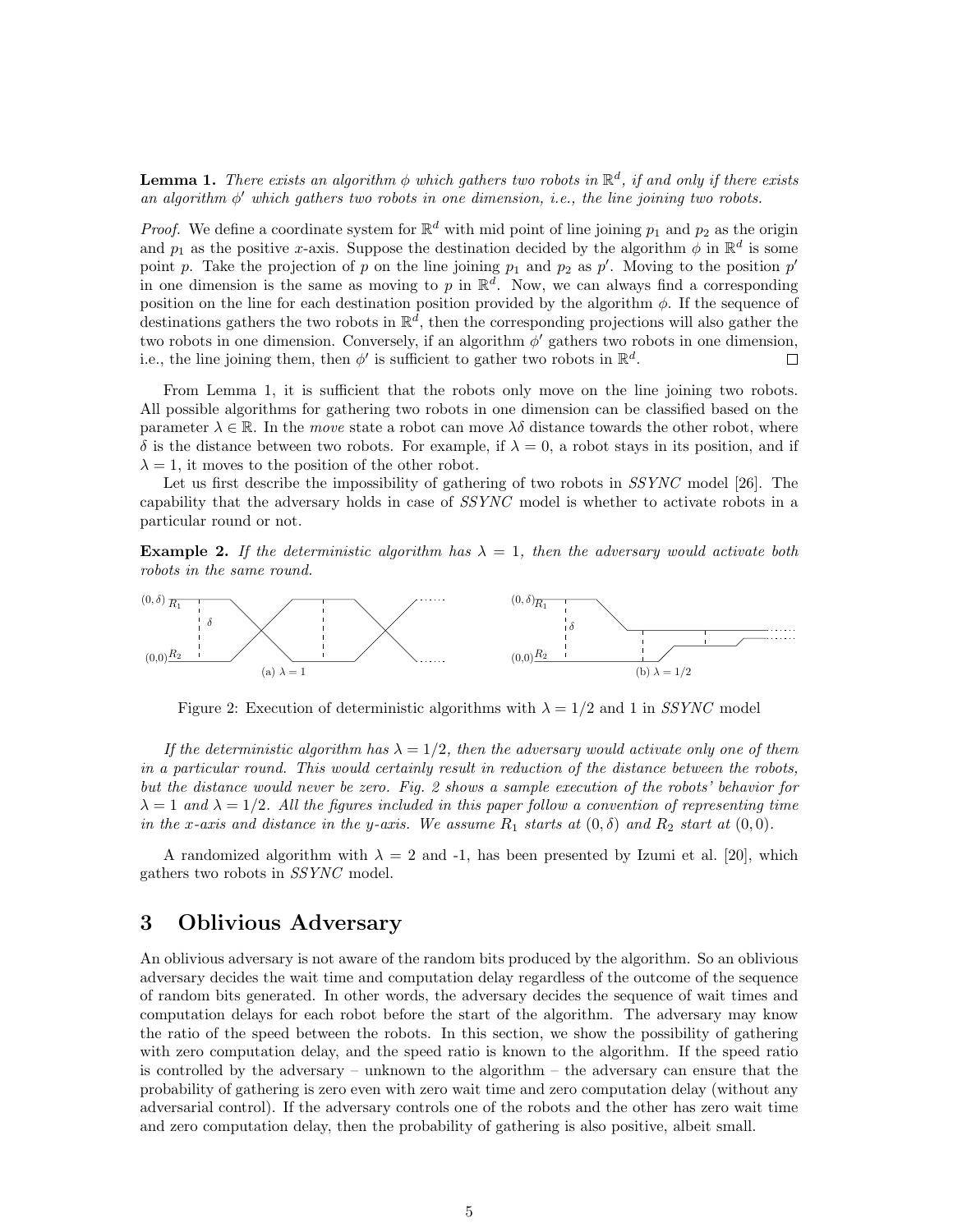**Lemma 1.** There exists an algorithm  $\phi$  which gathers two robots in  $\mathbb{R}^d$ , if and only if there exists an algorithm φ ′ which gathers two robots in one dimension, i.e., the line joining two robots.

*Proof.* We define a coordinate system for  $\mathbb{R}^d$  with mid point of line joining  $p_1$  and  $p_2$  as the origin and  $p_1$  as the positive x-axis. Suppose the destination decided by the algorithm  $\phi$  in  $\mathbb{R}^d$  is some point p. Take the projection of p on the line joining  $p_1$  and  $p_2$  as p'. Moving to the position p' in one dimension is the same as moving to p in  $\mathbb{R}^d$ . Now, we can always find a corresponding position on the line for each destination position provided by the algorithm  $\phi$ . If the sequence of destinations gathers the two robots in  $\mathbb{R}^d$ , then the corresponding projections will also gather the two robots in one dimension. Conversely, if an algorithm  $\phi'$  gathers two robots in one dimension, i.e., the line joining them, then  $\phi'$  is sufficient to gather two robots in  $\mathbb{R}^d$ .  $\Box$ 

From Lemma 1, it is sufficient that the robots only move on the line joining two robots. All possible algorithms for gathering two robots in one dimension can be classified based on the parameter  $\lambda \in \mathbb{R}$ . In the move state a robot can move  $\lambda \delta$  distance towards the other robot, where δ is the distance between two robots. For example, if  $\lambda = 0$ , a robot stays in its position, and if  $\lambda = 1$ , it moves to the position of the other robot.

Let us first describe the impossibility of gathering of two robots in *SSYNC* model [26]. The capability that the adversary holds in case of SSYNC model is whether to activate robots in a particular round or not.

**Example 2.** If the deterministic algorithm has  $\lambda = 1$ , then the adversary would activate both robots in the same round.



Figure 2: Execution of deterministic algorithms with  $\lambda = 1/2$  and 1 in SSYNC model

If the deterministic algorithm has  $\lambda = 1/2$ , then the adversary would activate only one of them in a particular round. This would certainly result in reduction of the distance between the robots, but the distance would never be zero. Fig. 2 shows a sample execution of the robots' behavior for  $\lambda = 1$  and  $\lambda = 1/2$ . All the figures included in this paper follow a convention of representing time in the x-axis and distance in the y-axis. We assume  $R_1$  starts at  $(0, \delta)$  and  $R_2$  start at  $(0, 0)$ .

A randomized algorithm with  $\lambda = 2$  and -1, has been presented by Izumi et al. [20], which gathers two robots in SSYNC model.

# 3 Oblivious Adversary

An oblivious adversary is not aware of the random bits produced by the algorithm. So an oblivious adversary decides the wait time and computation delay regardless of the outcome of the sequence of random bits generated. In other words, the adversary decides the sequence of wait times and computation delays for each robot before the start of the algorithm. The adversary may know the ratio of the speed between the robots. In this section, we show the possibility of gathering with zero computation delay, and the speed ratio is known to the algorithm. If the speed ratio is controlled by the adversary – unknown to the algorithm – the adversary can ensure that the probability of gathering is zero even with zero wait time and zero computation delay (without any adversarial control). If the adversary controls one of the robots and the other has zero wait time and zero computation delay, then the probability of gathering is also positive, albeit small.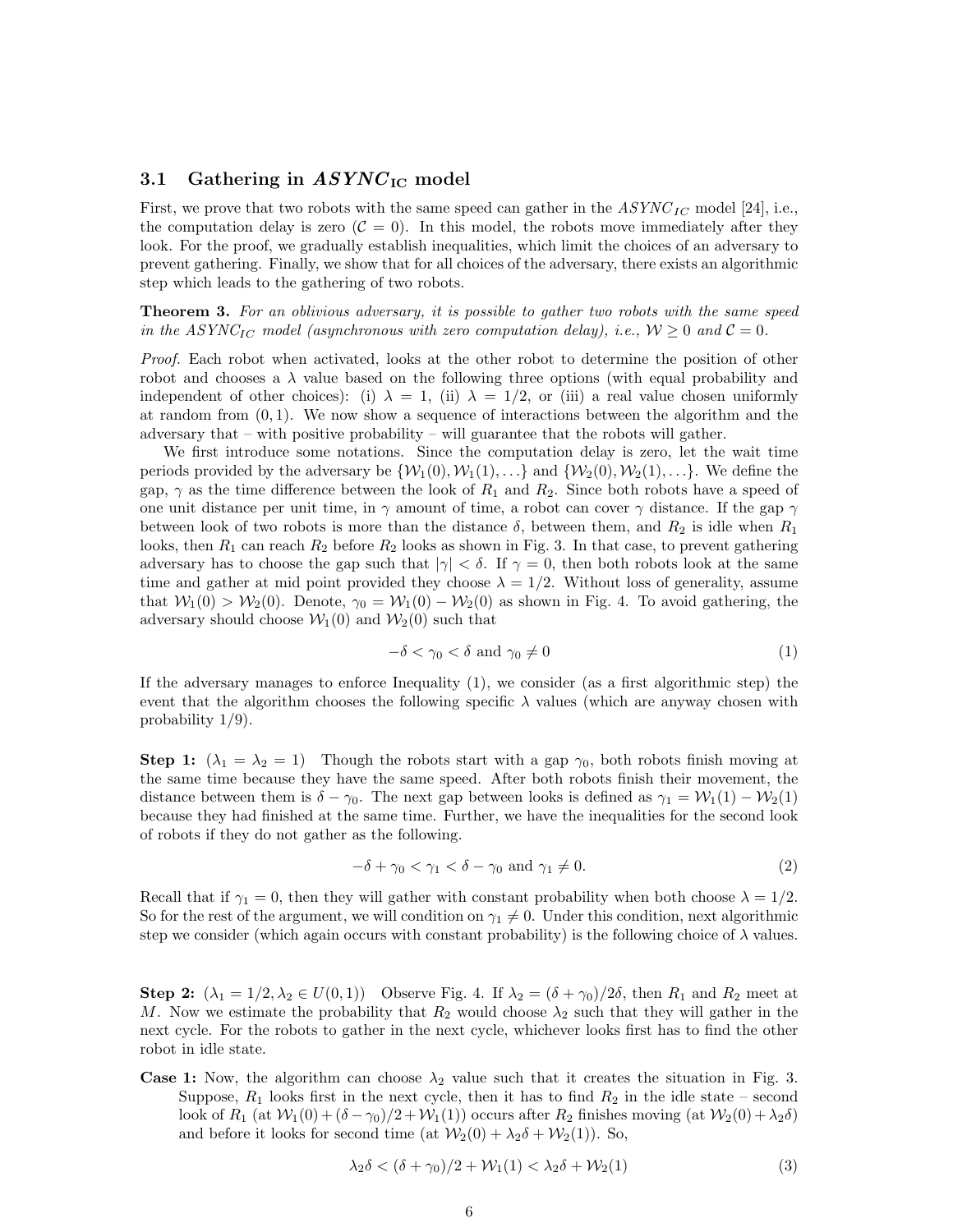#### 3.1 Gathering in  $ASYNC_{\rm IC}$  model

First, we prove that two robots with the same speed can gather in the  $ASYNC_{IC}$  model [24], i.e., the computation delay is zero  $(C = 0)$ . In this model, the robots move immediately after they look. For the proof, we gradually establish inequalities, which limit the choices of an adversary to prevent gathering. Finally, we show that for all choices of the adversary, there exists an algorithmic step which leads to the gathering of two robots.

**Theorem 3.** For an oblivious adversary, it is possible to gather two robots with the same speed in the ASYNC<sub>IC</sub> model (asynchronous with zero computation delay), i.e.,  $W \ge 0$  and  $C = 0$ .

Proof. Each robot when activated, looks at the other robot to determine the position of other robot and chooses a  $\lambda$  value based on the following three options (with equal probability and independent of other choices): (i)  $\lambda = 1$ , (ii)  $\lambda = 1/2$ , or (iii) a real value chosen uniformly at random from  $(0, 1)$ . We now show a sequence of interactions between the algorithm and the adversary that – with positive probability – will guarantee that the robots will gather.

We first introduce some notations. Since the computation delay is zero, let the wait time periods provided by the adversary be  $\{W_1(0), W_1(1), \ldots\}$  and  $\{W_2(0), W_2(1), \ldots\}$ . We define the gap,  $\gamma$  as the time difference between the look of  $R_1$  and  $R_2$ . Since both robots have a speed of one unit distance per unit time, in  $\gamma$  amount of time, a robot can cover  $\gamma$  distance. If the gap  $\gamma$ between look of two robots is more than the distance  $\delta$ , between them, and  $R_2$  is idle when  $R_1$ looks, then  $R_1$  can reach  $R_2$  before  $R_2$  looks as shown in Fig. 3. In that case, to prevent gathering adversary has to choose the gap such that  $|\gamma| < \delta$ . If  $\gamma = 0$ , then both robots look at the same time and gather at mid point provided they choose  $\lambda = 1/2$ . Without loss of generality, assume that  $W_1(0) > W_2(0)$ . Denote,  $\gamma_0 = W_1(0) - W_2(0)$  as shown in Fig. 4. To avoid gathering, the adversary should choose  $W_1(0)$  and  $W_2(0)$  such that

$$
-\delta < \gamma_0 < \delta \text{ and } \gamma_0 \neq 0 \tag{1}
$$

If the adversary manages to enforce Inequality (1), we consider (as a first algorithmic step) the event that the algorithm chooses the following specific  $\lambda$  values (which are anyway chosen with probability 1/9).

**Step 1:**  $(\lambda_1 = \lambda_2 = 1)$  Though the robots start with a gap  $\gamma_0$ , both robots finish moving at the same time because they have the same speed. After both robots finish their movement, the distance between them is  $\delta - \gamma_0$ . The next gap between looks is defined as  $\gamma_1 = \mathcal{W}_1(1) - \mathcal{W}_2(1)$ because they had finished at the same time. Further, we have the inequalities for the second look of robots if they do not gather as the following.

$$
-\delta + \gamma_0 < \gamma_1 < \delta - \gamma_0 \text{ and } \gamma_1 \neq 0. \tag{2}
$$

Recall that if  $\gamma_1 = 0$ , then they will gather with constant probability when both choose  $\lambda = 1/2$ . So for the rest of the argument, we will condition on  $\gamma_1 \neq 0$ . Under this condition, next algorithmic step we consider (which again occurs with constant probability) is the following choice of  $\lambda$  values.

**Step 2:**  $(\lambda_1 = 1/2, \lambda_2 \in U(0, 1))$  Observe Fig. 4. If  $\lambda_2 = (\delta + \gamma_0)/2\delta$ , then  $R_1$  and  $R_2$  meet at M. Now we estimate the probability that  $R_2$  would choose  $\lambda_2$  such that they will gather in the next cycle. For the robots to gather in the next cycle, whichever looks first has to find the other robot in idle state.

**Case 1:** Now, the algorithm can choose  $\lambda_2$  value such that it creates the situation in Fig. 3. Suppose,  $R_1$  looks first in the next cycle, then it has to find  $R_2$  in the idle state – second look of  $R_1$  (at  $W_1(0) + (\delta - \gamma_0)/2 + W_1(1)$ ) occurs after  $R_2$  finishes moving (at  $W_2(0) + \lambda_2\delta$ ) and before it looks for second time (at  $\mathcal{W}_2(0) + \lambda_2 \delta + \mathcal{W}_2(1)$ ). So,

$$
\lambda_2 \delta < (\delta + \gamma_0)/2 + \mathcal{W}_1(1) < \lambda_2 \delta + \mathcal{W}_2(1) \tag{3}
$$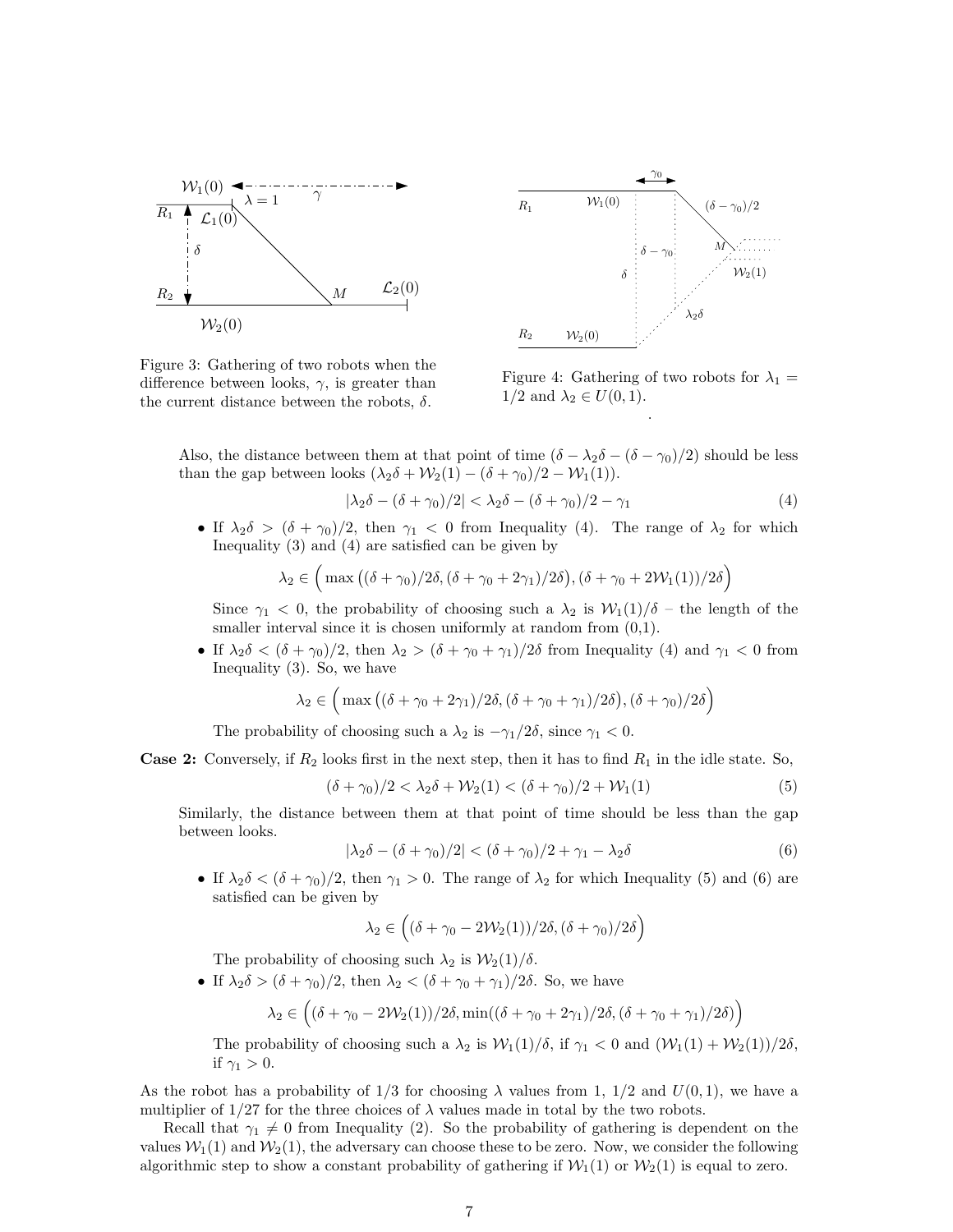

Figure 3: Gathering of two robots when the difference between looks,  $\gamma$ , is greater than the current distance between the robots,  $\delta$ .



Figure 4: Gathering of two robots for  $\lambda_1 =$  $1/2$  and  $\lambda_2 \in U(0,1)$ . .

Also, the distance between them at that point of time  $(\delta - \lambda_2 \delta - (\delta - \gamma_0)/2)$  should be less than the gap between looks  $(\lambda_2 \delta + \mathcal{W}_2(1) - (\delta + \gamma_0)/2 - \mathcal{W}_1(1)).$ 

$$
|\lambda_2 \delta - (\delta + \gamma_0)/2| < \lambda_2 \delta - (\delta + \gamma_0)/2 - \gamma_1 \tag{4}
$$

• If  $\lambda_2 \delta > (\delta + \gamma_0)/2$ , then  $\gamma_1 < 0$  from Inequality (4). The range of  $\lambda_2$  for which Inequality (3) and (4) are satisfied can be given by

$$
\lambda_2 \in \left( \max\left( (\delta + \gamma_0)/2\delta, (\delta + \gamma_0 + 2\gamma_1)/2\delta \right), (\delta + \gamma_0 + 2\mathcal{W}_1(1))/2\delta \right)
$$

Since  $\gamma_1$  < 0, the probability of choosing such a  $\lambda_2$  is  $\mathcal{W}_1(1)/\delta$  – the length of the smaller interval since it is chosen uniformly at random from  $(0,1)$ .

• If  $\lambda_2 \delta < (\delta + \gamma_0)/2$ , then  $\lambda_2 > (\delta + \gamma_0 + \gamma_1)/2\delta$  from Inequality (4) and  $\gamma_1 < 0$  from Inequality (3). So, we have

$$
\lambda_2 \in \left( \max\left( (\delta + \gamma_0 + 2\gamma_1)/2\delta, (\delta + \gamma_0 + \gamma_1)/2\delta \right), (\delta + \gamma_0)/2\delta \right)
$$

The probability of choosing such a  $\lambda_2$  is  $-\gamma_1/2\delta$ , since  $\gamma_1 < 0$ .

**Case 2:** Conversely, if  $R_2$  looks first in the next step, then it has to find  $R_1$  in the idle state. So,

$$
(\delta + \gamma_0)/2 < \lambda_2 \delta + \mathcal{W}_2(1) < (\delta + \gamma_0)/2 + \mathcal{W}_1(1)
$$
\n(5)

Similarly, the distance between them at that point of time should be less than the gap between looks.

$$
|\lambda_2 \delta - (\delta + \gamma_0)/2| < (\delta + \gamma_0)/2 + \gamma_1 - \lambda_2 \delta \tag{6}
$$

• If  $\lambda_2 \delta < (\delta + \gamma_0)/2$ , then  $\gamma_1 > 0$ . The range of  $\lambda_2$  for which Inequality (5) and (6) are satisfied can be given by

$$
\lambda_2 \in \left( (\delta + \gamma_0 - 2\mathcal{W}_2(1))/2\delta, (\delta + \gamma_0)/2\delta \right)
$$

The probability of choosing such  $\lambda_2$  is  $\mathcal{W}_2(1)/\delta$ .

• If  $\lambda_2 \delta > (\delta + \gamma_0)/2$ , then  $\lambda_2 < (\delta + \gamma_0 + \gamma_1)/2\delta$ . So, we have

$$
\lambda_2 \in \left( (\delta + \gamma_0 - 2\mathcal{W}_2(1))/2\delta, \min((\delta + \gamma_0 + 2\gamma_1)/2\delta, (\delta + \gamma_0 + \gamma_1)/2\delta) \right)
$$

The probability of choosing such a  $\lambda_2$  is  $\mathcal{W}_1(1)/\delta$ , if  $\gamma_1 < 0$  and  $(\mathcal{W}_1(1) + \mathcal{W}_2(1))/2\delta$ , if  $\gamma_1 > 0$ .

As the robot has a probability of  $1/3$  for choosing  $\lambda$  values from 1,  $1/2$  and  $U(0, 1)$ , we have a multiplier of  $1/27$  for the three choices of  $\lambda$  values made in total by the two robots.

Recall that  $\gamma_1 \neq 0$  from Inequality (2). So the probability of gathering is dependent on the values  $W_1(1)$  and  $W_2(1)$ , the adversary can choose these to be zero. Now, we consider the following algorithmic step to show a constant probability of gathering if  $W_1(1)$  or  $W_2(1)$  is equal to zero.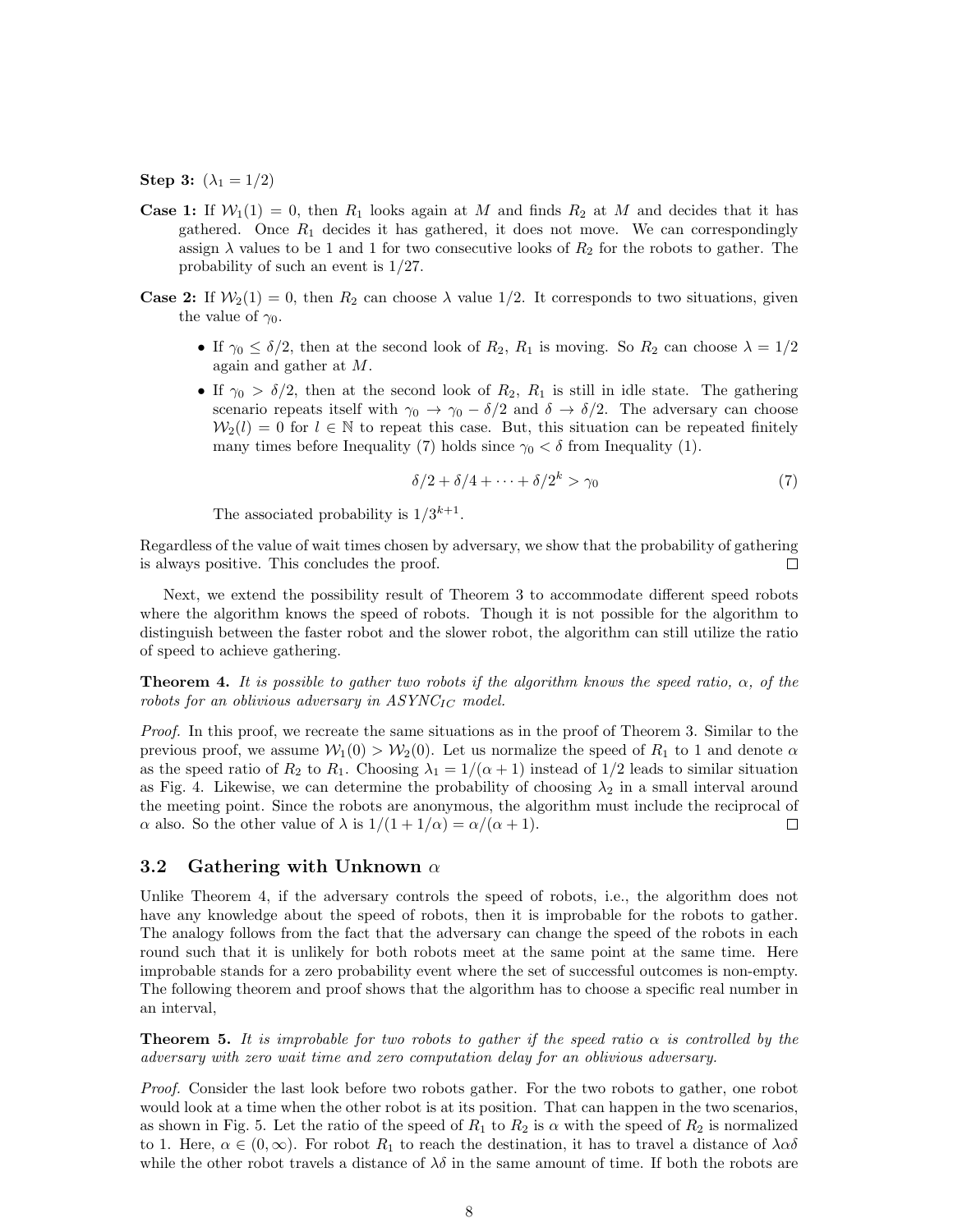**Step 3:**  $(\lambda_1 = 1/2)$ 

- **Case 1:** If  $W_1(1) = 0$ , then  $R_1$  looks again at M and finds  $R_2$  at M and decides that it has gathered. Once  $R_1$  decides it has gathered, it does not move. We can correspondingly assign  $\lambda$  values to be 1 and 1 for two consecutive looks of  $R_2$  for the robots to gather. The probability of such an event is 1/27.
- **Case 2:** If  $W_2(1) = 0$ , then  $R_2$  can choose  $\lambda$  value 1/2. It corresponds to two situations, given the value of  $\gamma_0$ .
	- If  $\gamma_0 \leq \delta/2$ , then at the second look of  $R_2$ ,  $R_1$  is moving. So  $R_2$  can choose  $\lambda = 1/2$ again and gather at M.
	- If  $\gamma_0 > \delta/2$ , then at the second look of  $R_2$ ,  $R_1$  is still in idle state. The gathering scenario repeats itself with  $\gamma_0 \to \gamma_0 - \delta/2$  and  $\delta \to \delta/2$ . The adversary can choose  $W_2(l) = 0$  for  $l \in \mathbb{N}$  to repeat this case. But, this situation can be repeated finitely many times before Inequality (7) holds since  $\gamma_0 < \delta$  from Inequality (1).

$$
\delta/2 + \delta/4 + \dots + \delta/2^k > \gamma_0 \tag{7}
$$

The associated probability is  $1/3^{k+1}$ .

Regardless of the value of wait times chosen by adversary, we show that the probability of gathering is always positive. This concludes the proof.  $\Box$ 

Next, we extend the possibility result of Theorem 3 to accommodate different speed robots where the algorithm knows the speed of robots. Though it is not possible for the algorithm to distinguish between the faster robot and the slower robot, the algorithm can still utilize the ratio of speed to achieve gathering.

**Theorem 4.** It is possible to gather two robots if the algorithm knows the speed ratio,  $\alpha$ , of the robots for an oblivious adversary in  $ASYNC_{IC}$  model.

Proof. In this proof, we recreate the same situations as in the proof of Theorem 3. Similar to the previous proof, we assume  $W_1(0) > W_2(0)$ . Let us normalize the speed of  $R_1$  to 1 and denote  $\alpha$ as the speed ratio of  $R_2$  to  $R_1$ . Choosing  $\lambda_1 = 1/(\alpha + 1)$  instead of  $1/2$  leads to similar situation as Fig. 4. Likewise, we can determine the probability of choosing  $\lambda_2$  in a small interval around the meeting point. Since the robots are anonymous, the algorithm must include the reciprocal of  $\alpha$  also. So the other value of  $\lambda$  is  $1/(1+1/\alpha) = \alpha/(\alpha+1)$ .  $\Box$ 

#### 3.2 Gathering with Unknown  $\alpha$

Unlike Theorem 4, if the adversary controls the speed of robots, i.e., the algorithm does not have any knowledge about the speed of robots, then it is improbable for the robots to gather. The analogy follows from the fact that the adversary can change the speed of the robots in each round such that it is unlikely for both robots meet at the same point at the same time. Here improbable stands for a zero probability event where the set of successful outcomes is non-empty. The following theorem and proof shows that the algorithm has to choose a specific real number in an interval,

**Theorem 5.** It is improbable for two robots to gather if the speed ratio  $\alpha$  is controlled by the adversary with zero wait time and zero computation delay for an oblivious adversary.

Proof. Consider the last look before two robots gather. For the two robots to gather, one robot would look at a time when the other robot is at its position. That can happen in the two scenarios, as shown in Fig. 5. Let the ratio of the speed of  $R_1$  to  $R_2$  is  $\alpha$  with the speed of  $R_2$  is normalized to 1. Here,  $\alpha \in (0,\infty)$ . For robot  $R_1$  to reach the destination, it has to travel a distance of  $\lambda \alpha \delta$ while the other robot travels a distance of  $\lambda \delta$  in the same amount of time. If both the robots are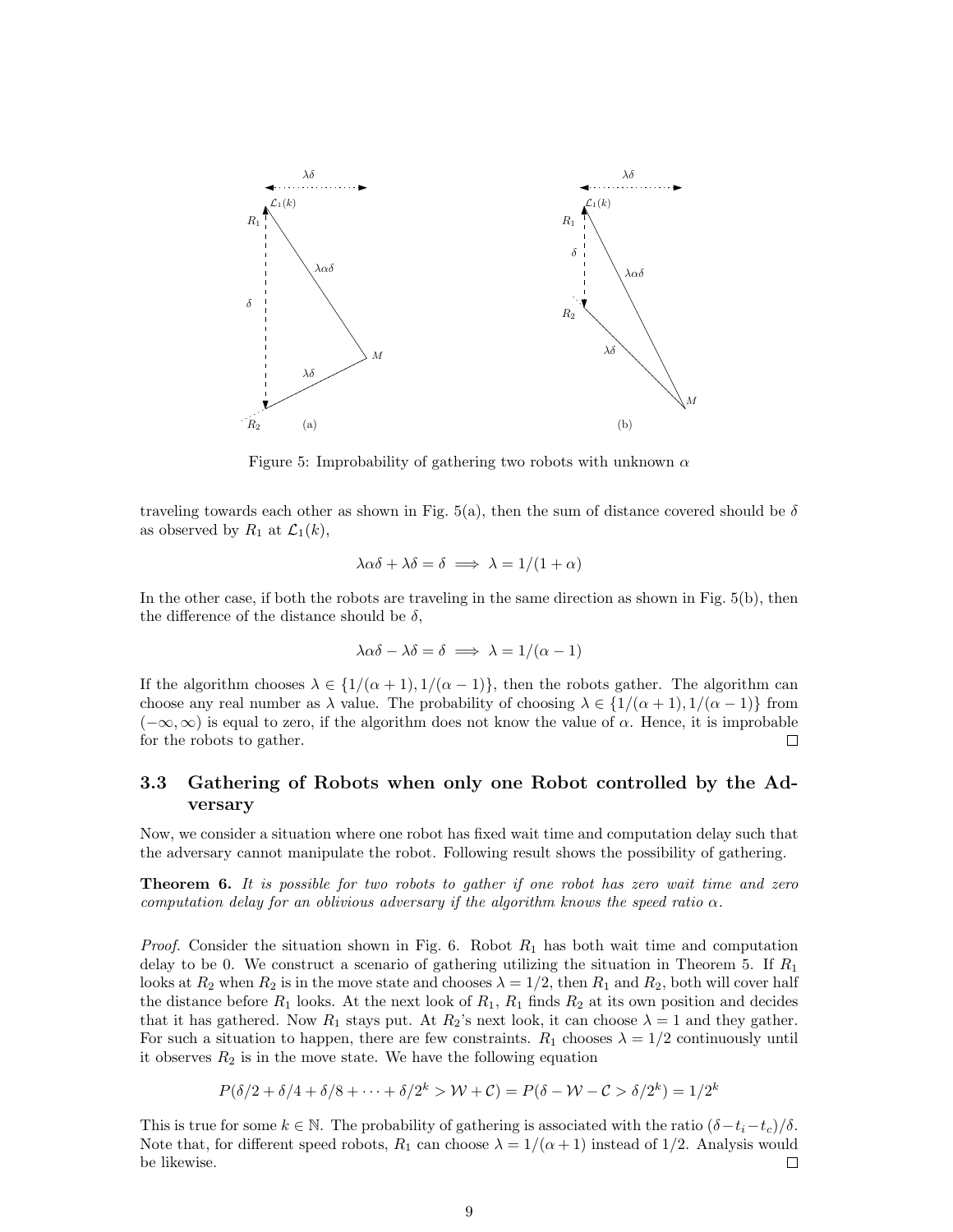

Figure 5: Improbability of gathering two robots with unknown  $\alpha$ 

traveling towards each other as shown in Fig. 5(a), then the sum of distance covered should be  $\delta$ as observed by  $R_1$  at  $\mathcal{L}_1(k)$ ,

$$
\lambda \alpha \delta + \lambda \delta = \delta \implies \lambda = 1/(1 + \alpha)
$$

In the other case, if both the robots are traveling in the same direction as shown in Fig. 5(b), then the difference of the distance should be  $\delta$ ,

$$
\lambda \alpha \delta - \lambda \delta = \delta \implies \lambda = 1/(\alpha - 1)
$$

If the algorithm chooses  $\lambda \in \{1/(\alpha+1), 1/(\alpha-1)\}\)$ , then the robots gather. The algorithm can choose any real number as  $\lambda$  value. The probability of choosing  $\lambda \in \{1/(\alpha+1), 1/(\alpha-1)\}\)$  from  $(-\infty, \infty)$  is equal to zero, if the algorithm does not know the value of  $\alpha$ . Hence, it is improbable for the robots to gather.  $\Box$ 

### 3.3 Gathering of Robots when only one Robot controlled by the Adversary

Now, we consider a situation where one robot has fixed wait time and computation delay such that the adversary cannot manipulate the robot. Following result shows the possibility of gathering.

**Theorem 6.** It is possible for two robots to gather if one robot has zero wait time and zero computation delay for an oblivious adversary if the algorithm knows the speed ratio  $\alpha$ .

*Proof.* Consider the situation shown in Fig. 6. Robot  $R_1$  has both wait time and computation delay to be 0. We construct a scenario of gathering utilizing the situation in Theorem 5. If  $R_1$ looks at  $R_2$  when  $R_2$  is in the move state and chooses  $\lambda = 1/2$ , then  $R_1$  and  $R_2$ , both will cover half the distance before  $R_1$  looks. At the next look of  $R_1$ ,  $R_1$  finds  $R_2$  at its own position and decides that it has gathered. Now  $R_1$  stays put. At  $R_2$ 's next look, it can choose  $\lambda = 1$  and they gather. For such a situation to happen, there are few constraints.  $R_1$  chooses  $\lambda = 1/2$  continuously until it observes  $R_2$  is in the move state. We have the following equation

$$
P(\delta/2 + \delta/4 + \delta/8 + \dots + \delta/2^k > W + C) = P(\delta - W - C > \delta/2^k) = 1/2^k
$$

This is true for some  $k \in \mathbb{N}$ . The probability of gathering is associated with the ratio  $(\delta-t_i-t_c)/\delta$ . Note that, for different speed robots,  $R_1$  can choose  $\lambda = 1/(\alpha + 1)$  instead of 1/2. Analysis would be likewise.  $\Box$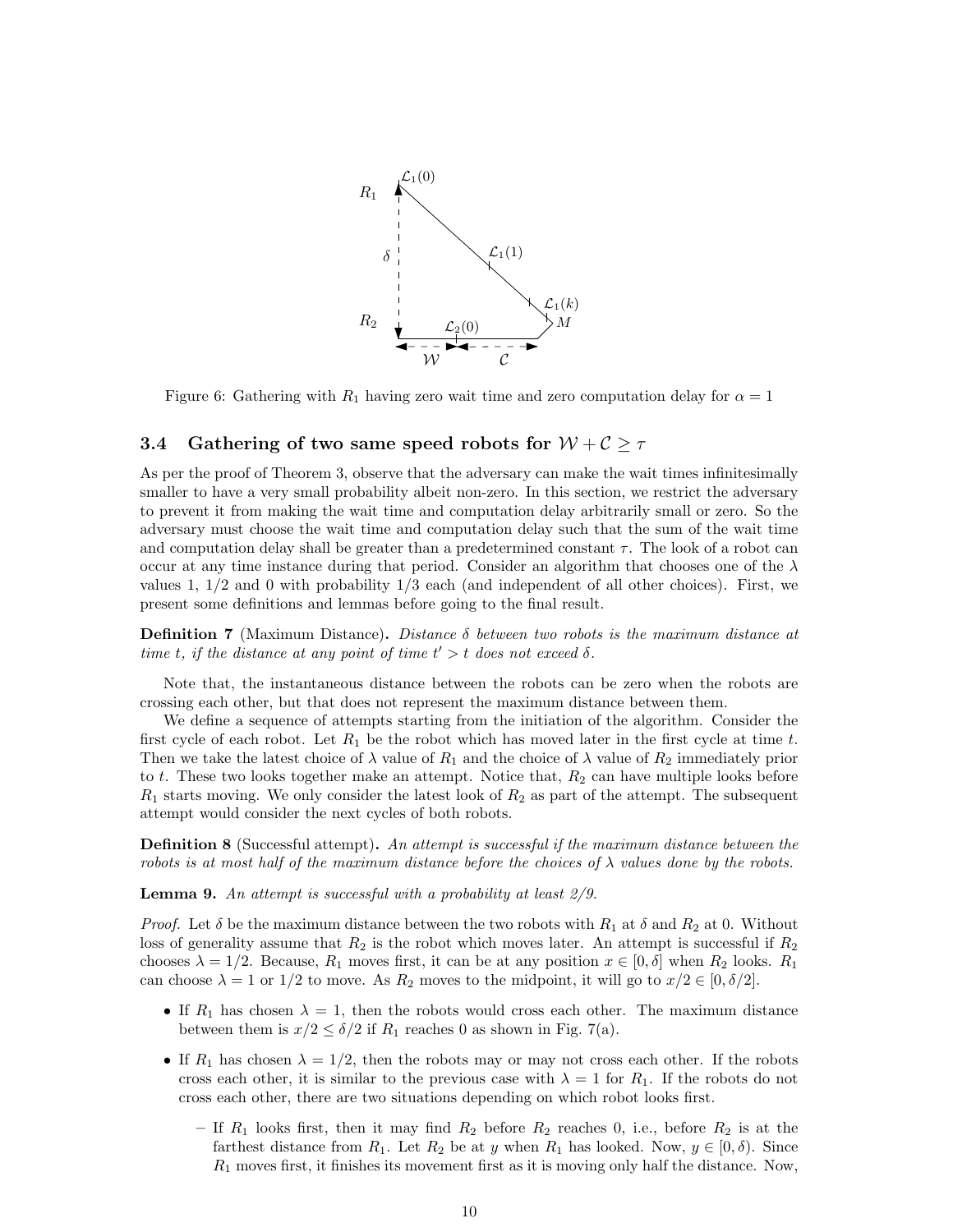

Figure 6: Gathering with  $R_1$  having zero wait time and zero computation delay for  $\alpha = 1$ 

### 3.4 Gathering of two same speed robots for  $W + C \geq \tau$

As per the proof of Theorem 3, observe that the adversary can make the wait times infinitesimally smaller to have a very small probability albeit non-zero. In this section, we restrict the adversary to prevent it from making the wait time and computation delay arbitrarily small or zero. So the adversary must choose the wait time and computation delay such that the sum of the wait time and computation delay shall be greater than a predetermined constant  $\tau$ . The look of a robot can occur at any time instance during that period. Consider an algorithm that chooses one of the  $\lambda$ values 1,  $1/2$  and 0 with probability  $1/3$  each (and independent of all other choices). First, we present some definitions and lemmas before going to the final result.

**Definition 7** (Maximum Distance). Distance  $\delta$  between two robots is the maximum distance at time t, if the distance at any point of time  $t' > t$  does not exceed  $\delta$ .

Note that, the instantaneous distance between the robots can be zero when the robots are crossing each other, but that does not represent the maximum distance between them.

We define a sequence of attempts starting from the initiation of the algorithm. Consider the first cycle of each robot. Let  $R_1$  be the robot which has moved later in the first cycle at time t. Then we take the latest choice of  $\lambda$  value of  $R_1$  and the choice of  $\lambda$  value of  $R_2$  immediately prior to  $t$ . These two looks together make an attempt. Notice that,  $R_2$  can have multiple looks before  $R_1$  starts moving. We only consider the latest look of  $R_2$  as part of the attempt. The subsequent attempt would consider the next cycles of both robots.

**Definition 8** (Successful attempt). An attempt is successful if the maximum distance between the robots is at most half of the maximum distance before the choices of  $\lambda$  values done by the robots.

**Lemma 9.** An attempt is successful with a probability at least  $2/9$ .

*Proof.* Let  $\delta$  be the maximum distance between the two robots with  $R_1$  at  $\delta$  and  $R_2$  at 0. Without loss of generality assume that  $R_2$  is the robot which moves later. An attempt is successful if  $R_2$ chooses  $\lambda = 1/2$ . Because,  $R_1$  moves first, it can be at any position  $x \in [0, \delta]$  when  $R_2$  looks.  $R_1$ can choose  $\lambda = 1$  or  $1/2$  to move. As  $R_2$  moves to the midpoint, it will go to  $x/2 \in [0, \delta/2]$ .

- If  $R_1$  has chosen  $\lambda = 1$ , then the robots would cross each other. The maximum distance between them is  $x/2 \le \delta/2$  if  $R_1$  reaches 0 as shown in Fig. 7(a).
- If  $R_1$  has chosen  $\lambda = 1/2$ , then the robots may or may not cross each other. If the robots cross each other, it is similar to the previous case with  $\lambda = 1$  for  $R_1$ . If the robots do not cross each other, there are two situations depending on which robot looks first.
	- If  $R_1$  looks first, then it may find  $R_2$  before  $R_2$  reaches 0, i.e., before  $R_2$  is at the farthest distance from  $R_1$ . Let  $R_2$  be at y when  $R_1$  has looked. Now,  $y \in [0, \delta)$ . Since  $R_1$  moves first, it finishes its movement first as it is moving only half the distance. Now,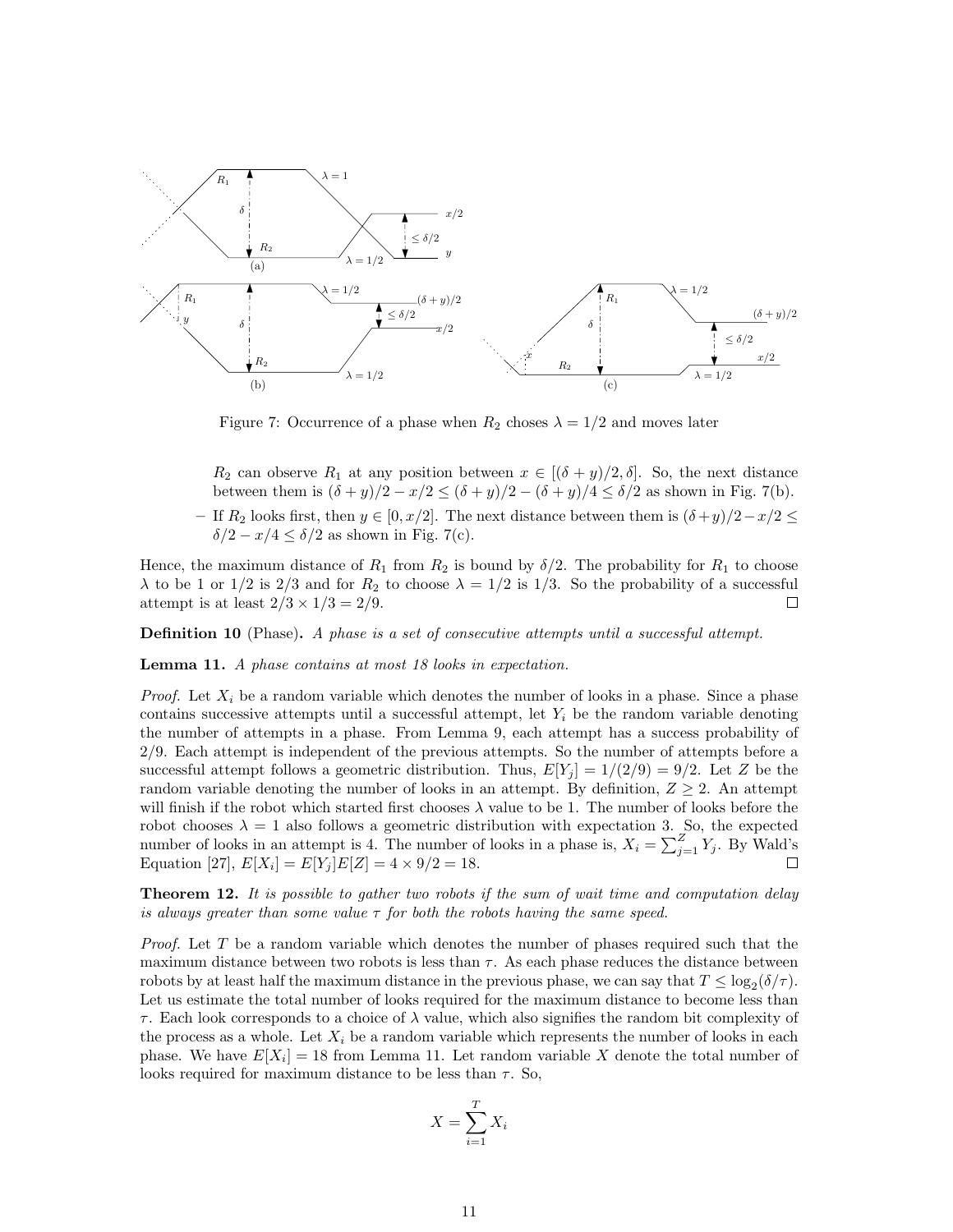

Figure 7: Occurrence of a phase when  $R_2$  choses  $\lambda = 1/2$  and moves later

 $R_2$  can observe  $R_1$  at any position between  $x \in [(\delta + y)/2, \delta]$ . So, the next distance between them is  $(\delta + y)/2 - x/2 \le (\delta + y)/2 - (\delta + y)/4 \le \delta/2$  as shown in Fig. 7(b).

– If R<sup>2</sup> looks first, then y ∈ [0, x/2]. The next distance between them is (δ +y)/2−x/2 ≤  $\delta/2-x/4\leq\delta/2$  as shown in Fig. 7(c).

Hence, the maximum distance of  $R_1$  from  $R_2$  is bound by  $\delta/2$ . The probability for  $R_1$  to choose  $\lambda$  to be 1 or 1/2 is 2/3 and for  $R_2$  to choose  $\lambda = 1/2$  is 1/3. So the probability of a successful attempt is at least  $2/3 \times 1/3 = 2/9$ .  $\Box$ 

**Definition 10** (Phase). A phase is a set of consecutive attempts until a successful attempt.

Lemma 11. A phase contains at most 18 looks in expectation.

*Proof.* Let  $X_i$  be a random variable which denotes the number of looks in a phase. Since a phase contains successive attempts until a successful attempt, let  $Y_i$  be the random variable denoting the number of attempts in a phase. From Lemma 9, each attempt has a success probability of 2/9. Each attempt is independent of the previous attempts. So the number of attempts before a successful attempt follows a geometric distribution. Thus,  $E[Y_i] = 1/(2/9) = 9/2$ . Let Z be the random variable denoting the number of looks in an attempt. By definition,  $Z \geq 2$ . An attempt will finish if the robot which started first chooses  $\lambda$  value to be 1. The number of looks before the robot chooses  $\lambda = 1$  also follows a geometric distribution with expectation 3. So, the expected number of looks in an attempt is 4. The number of looks in a phase is,  $X_i = \sum_{j=1}^{Z} Y_j$ . By Wald's Equation [27],  $E[X_i] = E[Y_j]E[Z] = 4 \times 9/2 = 18.$ 

**Theorem 12.** It is possible to gather two robots if the sum of wait time and computation delay is always greater than some value  $\tau$  for both the robots having the same speed.

Proof. Let T be a random variable which denotes the number of phases required such that the maximum distance between two robots is less than  $\tau$ . As each phase reduces the distance between robots by at least half the maximum distance in the previous phase, we can say that  $T \leq \log_2(\delta/\tau)$ . Let us estimate the total number of looks required for the maximum distance to become less than  $\tau$ . Each look corresponds to a choice of  $\lambda$  value, which also signifies the random bit complexity of the process as a whole. Let  $X_i$  be a random variable which represents the number of looks in each phase. We have  $E[X_i] = 18$  from Lemma 11. Let random variable X denote the total number of looks required for maximum distance to be less than  $\tau$ . So,

$$
X = \sum_{i=1}^{T} X_i
$$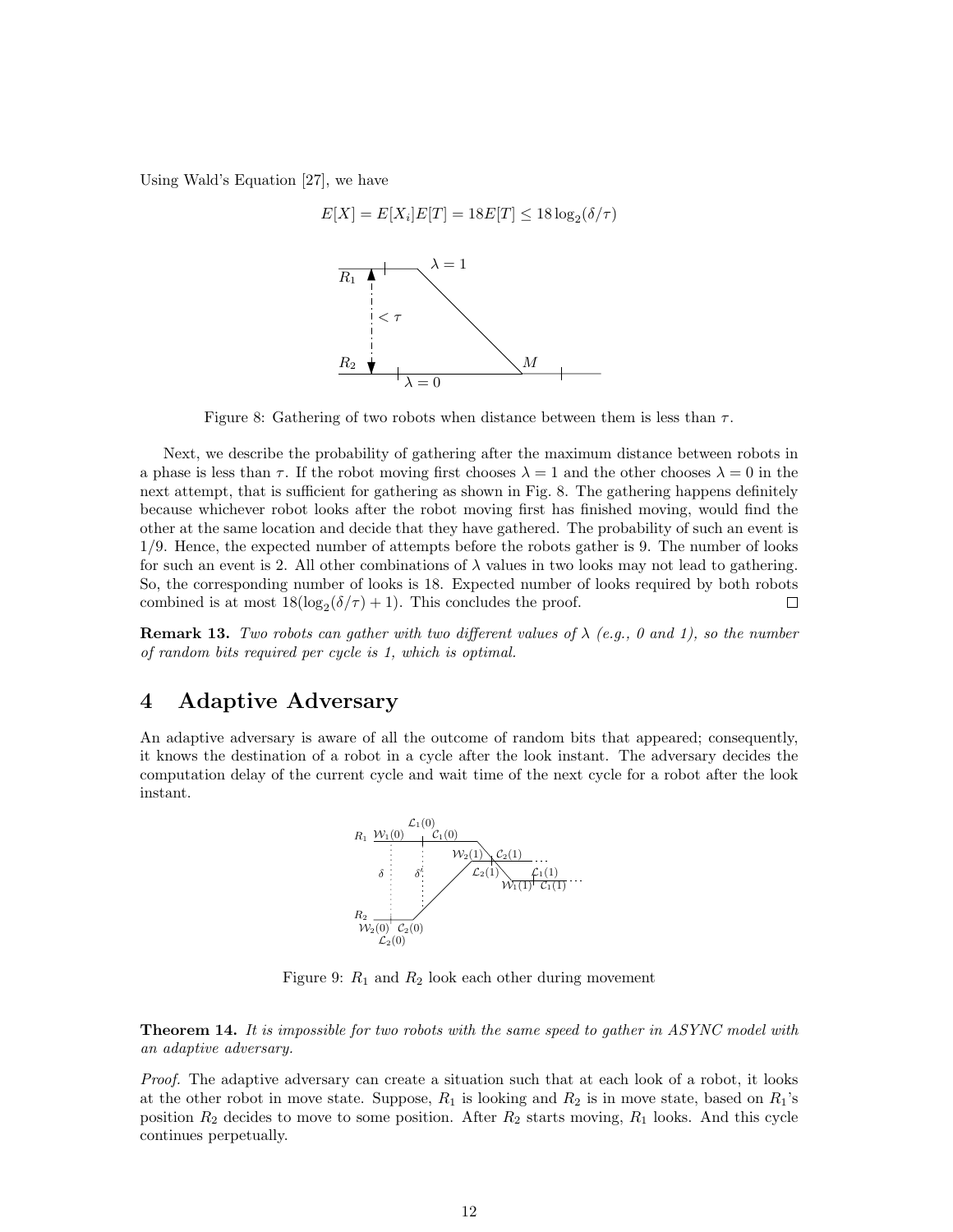Using Wald's Equation [27], we have



Figure 8: Gathering of two robots when distance between them is less than  $\tau$ .

Next, we describe the probability of gathering after the maximum distance between robots in a phase is less than  $\tau$ . If the robot moving first chooses  $\lambda = 1$  and the other chooses  $\lambda = 0$  in the next attempt, that is sufficient for gathering as shown in Fig. 8. The gathering happens definitely because whichever robot looks after the robot moving first has finished moving, would find the other at the same location and decide that they have gathered. The probability of such an event is 1/9. Hence, the expected number of attempts before the robots gather is 9. The number of looks for such an event is 2. All other combinations of  $\lambda$  values in two looks may not lead to gathering. So, the corresponding number of looks is 18. Expected number of looks required by both robots combined is at most  $18(\log_2(\delta/\tau) + 1)$ . This concludes the proof.  $\Box$ 

**Remark 13.** Two robots can gather with two different values of  $\lambda$  (e.g., 0 and 1), so the number of random bits required per cycle is 1, which is optimal.

# 4 Adaptive Adversary

An adaptive adversary is aware of all the outcome of random bits that appeared; consequently, it knows the destination of a robot in a cycle after the look instant. The adversary decides the computation delay of the current cycle and wait time of the next cycle for a robot after the look instant.



Figure 9:  $R_1$  and  $R_2$  look each other during movement

**Theorem 14.** It is impossible for two robots with the same speed to gather in ASYNC model with an adaptive adversary.

Proof. The adaptive adversary can create a situation such that at each look of a robot, it looks at the other robot in move state. Suppose,  $R_1$  is looking and  $R_2$  is in move state, based on  $R_1$ 's position  $R_2$  decides to move to some position. After  $R_2$  starts moving,  $R_1$  looks. And this cycle continues perpetually.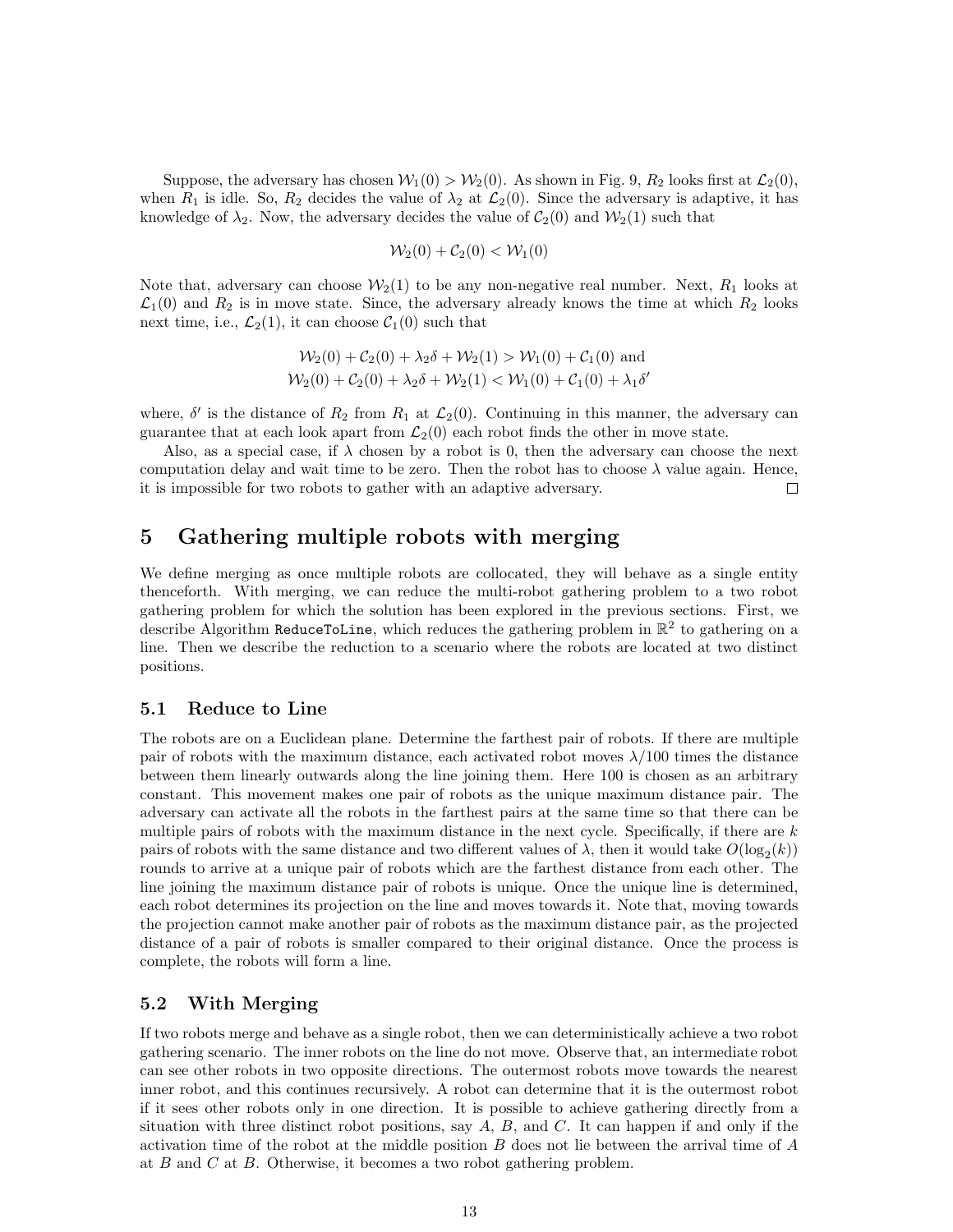Suppose, the adversary has chosen  $\mathcal{W}_1(0) > \mathcal{W}_2(0)$ . As shown in Fig. 9,  $R_2$  looks first at  $\mathcal{L}_2(0)$ , when  $R_1$  is idle. So,  $R_2$  decides the value of  $\lambda_2$  at  $\mathcal{L}_2(0)$ . Since the adversary is adaptive, it has knowledge of  $\lambda_2$ . Now, the adversary decides the value of  $C_2(0)$  and  $\mathcal{W}_2(1)$  such that

$$
\mathcal{W}_2(0) + \mathcal{C}_2(0) < \mathcal{W}_1(0)
$$

Note that, adversary can choose  $\mathcal{W}_2(1)$  to be any non-negative real number. Next,  $R_1$  looks at  $\mathcal{L}_1(0)$  and  $R_2$  is in move state. Since, the adversary already knows the time at which  $R_2$  looks next time, i.e.,  $\mathcal{L}_2(1)$ , it can choose  $\mathcal{C}_1(0)$  such that

$$
\mathcal{W}_2(0) + \mathcal{C}_2(0) + \lambda_2 \delta + \mathcal{W}_2(1) > \mathcal{W}_1(0) + \mathcal{C}_1(0) \text{ and}
$$
\n
$$
\mathcal{W}_2(0) + \mathcal{C}_2(0) + \lambda_2 \delta + \mathcal{W}_2(1) < \mathcal{W}_1(0) + \mathcal{C}_1(0) + \lambda_1 \delta'
$$

where,  $\delta'$  is the distance of  $R_2$  from  $R_1$  at  $\mathcal{L}_2(0)$ . Continuing in this manner, the adversary can guarantee that at each look apart from  $\mathcal{L}_2(0)$  each robot finds the other in move state.

Also, as a special case, if  $\lambda$  chosen by a robot is 0, then the adversary can choose the next computation delay and wait time to be zero. Then the robot has to choose  $\lambda$  value again. Hence, it is impossible for two robots to gather with an adaptive adversary.  $\Box$ 

# 5 Gathering multiple robots with merging

We define merging as once multiple robots are collocated, they will behave as a single entity thenceforth. With merging, we can reduce the multi-robot gathering problem to a two robot gathering problem for which the solution has been explored in the previous sections. First, we describe Algorithm ReduceToLine, which reduces the gathering problem in  $\mathbb{R}^2$  to gathering on a line. Then we describe the reduction to a scenario where the robots are located at two distinct positions.

#### 5.1 Reduce to Line

The robots are on a Euclidean plane. Determine the farthest pair of robots. If there are multiple pair of robots with the maximum distance, each activated robot moves  $\lambda/100$  times the distance between them linearly outwards along the line joining them. Here 100 is chosen as an arbitrary constant. This movement makes one pair of robots as the unique maximum distance pair. The adversary can activate all the robots in the farthest pairs at the same time so that there can be multiple pairs of robots with the maximum distance in the next cycle. Specifically, if there are  $k$ pairs of robots with the same distance and two different values of  $\lambda$ , then it would take  $O(\log_2(k))$ rounds to arrive at a unique pair of robots which are the farthest distance from each other. The line joining the maximum distance pair of robots is unique. Once the unique line is determined, each robot determines its projection on the line and moves towards it. Note that, moving towards the projection cannot make another pair of robots as the maximum distance pair, as the projected distance of a pair of robots is smaller compared to their original distance. Once the process is complete, the robots will form a line.

#### 5.2 With Merging

If two robots merge and behave as a single robot, then we can deterministically achieve a two robot gathering scenario. The inner robots on the line do not move. Observe that, an intermediate robot can see other robots in two opposite directions. The outermost robots move towards the nearest inner robot, and this continues recursively. A robot can determine that it is the outermost robot if it sees other robots only in one direction. It is possible to achieve gathering directly from a situation with three distinct robot positions, say  $A, B$ , and  $C$ . It can happen if and only if the activation time of the robot at the middle position B does not lie between the arrival time of A at B and C at B. Otherwise, it becomes a two robot gathering problem.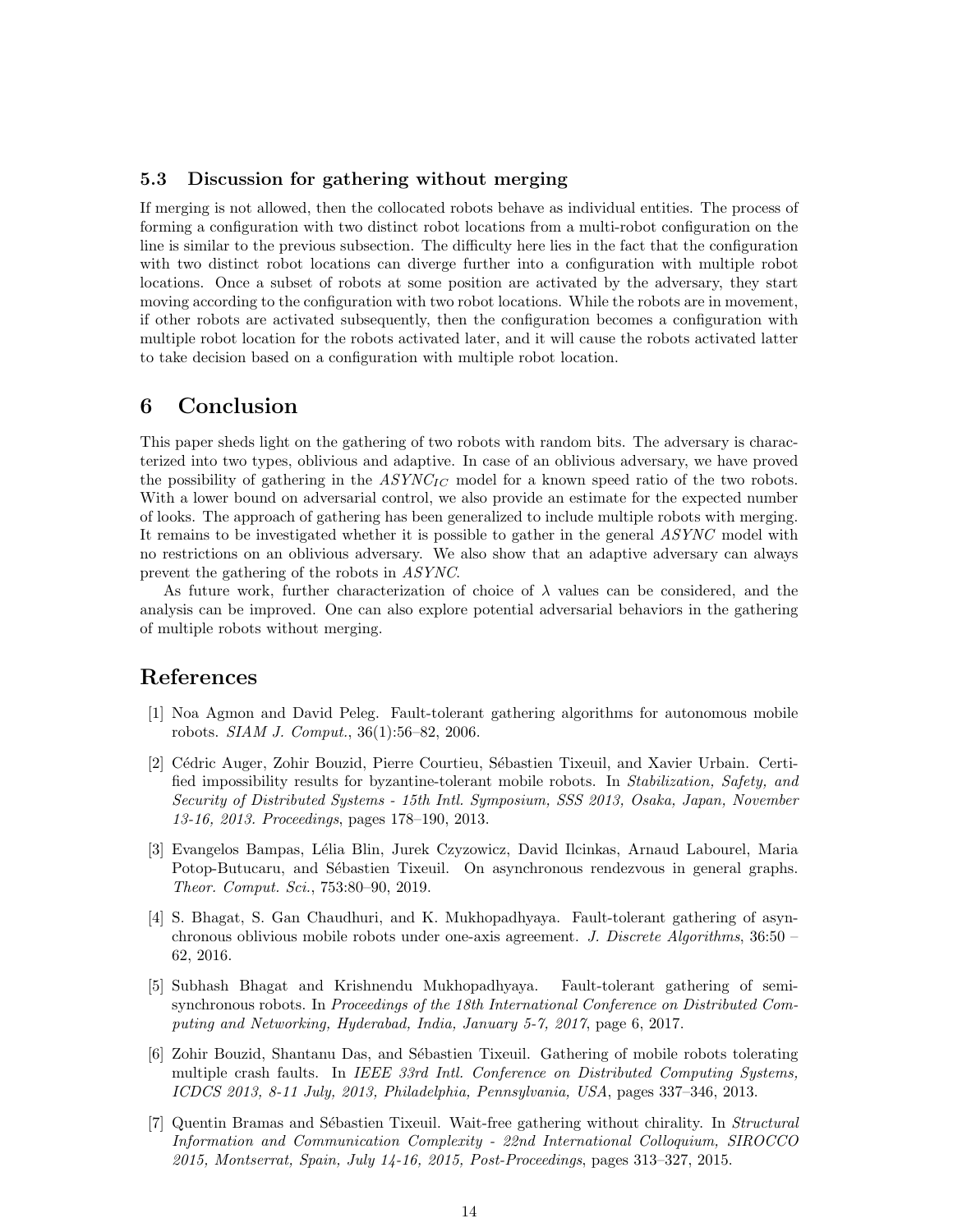#### 5.3 Discussion for gathering without merging

If merging is not allowed, then the collocated robots behave as individual entities. The process of forming a configuration with two distinct robot locations from a multi-robot configuration on the line is similar to the previous subsection. The difficulty here lies in the fact that the configuration with two distinct robot locations can diverge further into a configuration with multiple robot locations. Once a subset of robots at some position are activated by the adversary, they start moving according to the configuration with two robot locations. While the robots are in movement, if other robots are activated subsequently, then the configuration becomes a configuration with multiple robot location for the robots activated later, and it will cause the robots activated latter to take decision based on a configuration with multiple robot location.

# 6 Conclusion

This paper sheds light on the gathering of two robots with random bits. The adversary is characterized into two types, oblivious and adaptive. In case of an oblivious adversary, we have proved the possibility of gathering in the  $ASYNC_{IC}$  model for a known speed ratio of the two robots. With a lower bound on adversarial control, we also provide an estimate for the expected number of looks. The approach of gathering has been generalized to include multiple robots with merging. It remains to be investigated whether it is possible to gather in the general ASYNC model with no restrictions on an oblivious adversary. We also show that an adaptive adversary can always prevent the gathering of the robots in ASYNC.

As future work, further characterization of choice of  $\lambda$  values can be considered, and the analysis can be improved. One can also explore potential adversarial behaviors in the gathering of multiple robots without merging.

# References

- [1] Noa Agmon and David Peleg. Fault-tolerant gathering algorithms for autonomous mobile robots. SIAM J. Comput., 36(1):56–82, 2006.
- [2] Cédric Auger, Zohir Bouzid, Pierre Courtieu, Sébastien Tixeuil, and Xavier Urbain. Certified impossibility results for byzantine-tolerant mobile robots. In Stabilization, Safety, and Security of Distributed Systems - 15th Intl. Symposium, SSS 2013, Osaka, Japan, November 13-16, 2013. Proceedings, pages 178–190, 2013.
- [3] Evangelos Bampas, L´elia Blin, Jurek Czyzowicz, David Ilcinkas, Arnaud Labourel, Maria Potop-Butucaru, and Sébastien Tixeuil. On asynchronous rendezvous in general graphs. Theor. Comput. Sci., 753:80–90, 2019.
- [4] S. Bhagat, S. Gan Chaudhuri, and K. Mukhopadhyaya. Fault-tolerant gathering of asynchronous oblivious mobile robots under one-axis agreement. J. Discrete Algorithms, 36:50 – 62, 2016.
- [5] Subhash Bhagat and Krishnendu Mukhopadhyaya. Fault-tolerant gathering of semisynchronous robots. In Proceedings of the 18th International Conference on Distributed Computing and Networking, Hyderabad, India, January 5-7, 2017, page 6, 2017.
- [6] Zohir Bouzid, Shantanu Das, and S´ebastien Tixeuil. Gathering of mobile robots tolerating multiple crash faults. In IEEE 33rd Intl. Conference on Distributed Computing Systems, ICDCS 2013, 8-11 July, 2013, Philadelphia, Pennsylvania, USA, pages 337–346, 2013.
- [7] Quentin Bramas and Sébastien Tixeuil. Wait-free gathering without chirality. In Structural Information and Communication Complexity - 22nd International Colloquium, SIROCCO 2015, Montserrat, Spain, July 14-16, 2015, Post-Proceedings, pages 313–327, 2015.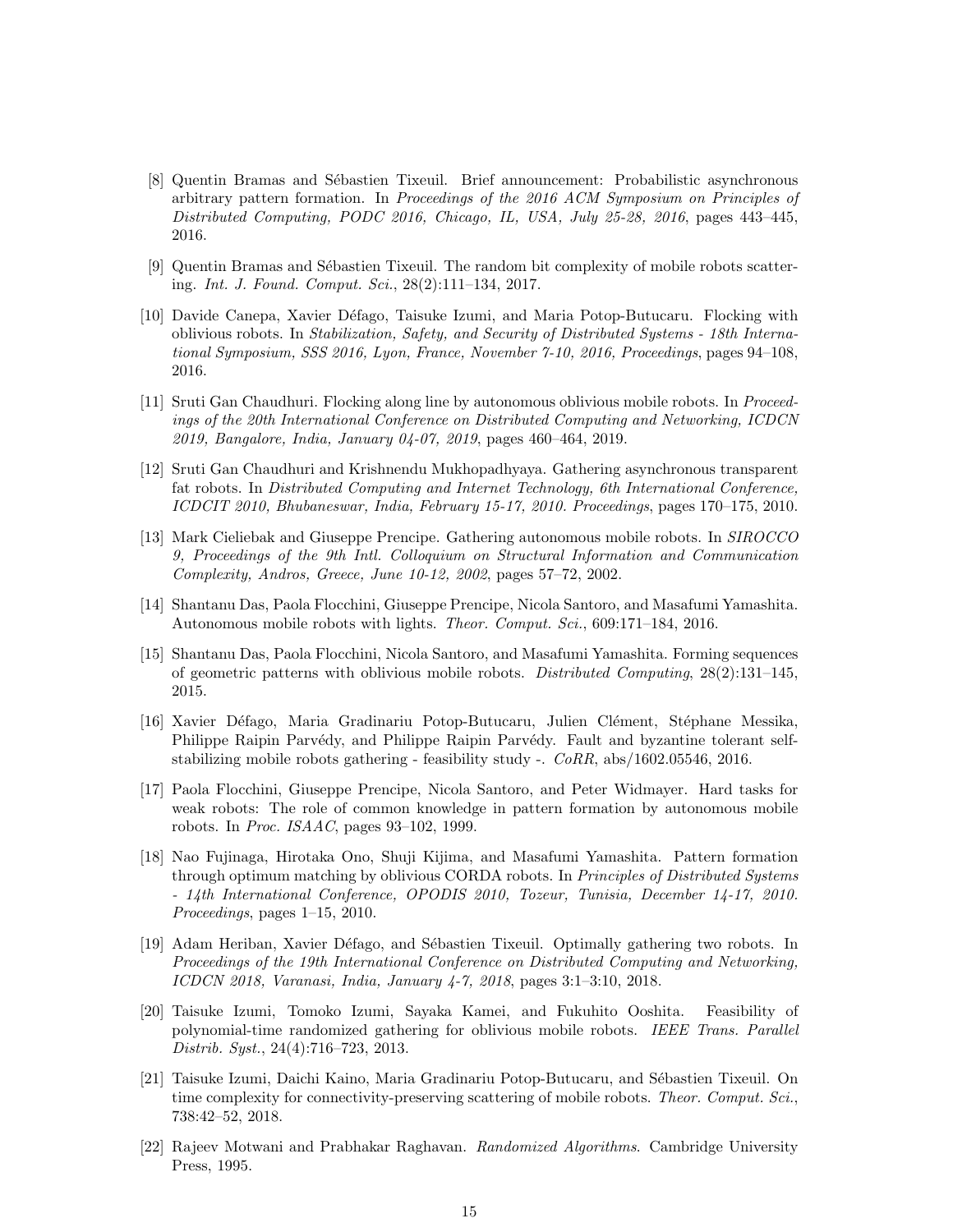- [8] Quentin Bramas and Sébastien Tixeuil. Brief announcement: Probabilistic asynchronous arbitrary pattern formation. In Proceedings of the 2016 ACM Symposium on Principles of Distributed Computing, PODC 2016, Chicago, IL, USA, July 25-28, 2016, pages 443–445, 2016.
- [9] Quentin Bramas and Sébastien Tixeuil. The random bit complexity of mobile robots scattering. Int. J. Found. Comput. Sci., 28(2):111–134, 2017.
- [10] Davide Canepa, Xavier Défago, Taisuke Izumi, and Maria Potop-Butucaru. Flocking with oblivious robots. In Stabilization, Safety, and Security of Distributed Systems - 18th International Symposium, SSS 2016, Lyon, France, November 7-10, 2016, Proceedings, pages 94–108, 2016.
- [11] Sruti Gan Chaudhuri. Flocking along line by autonomous oblivious mobile robots. In Proceedings of the 20th International Conference on Distributed Computing and Networking, ICDCN 2019, Bangalore, India, January 04-07, 2019, pages 460–464, 2019.
- [12] Sruti Gan Chaudhuri and Krishnendu Mukhopadhyaya. Gathering asynchronous transparent fat robots. In Distributed Computing and Internet Technology, 6th International Conference, ICDCIT 2010, Bhubaneswar, India, February 15-17, 2010. Proceedings, pages 170–175, 2010.
- [13] Mark Cieliebak and Giuseppe Prencipe. Gathering autonomous mobile robots. In SIROCCO 9, Proceedings of the 9th Intl. Colloquium on Structural Information and Communication Complexity, Andros, Greece, June 10-12, 2002, pages 57–72, 2002.
- [14] Shantanu Das, Paola Flocchini, Giuseppe Prencipe, Nicola Santoro, and Masafumi Yamashita. Autonomous mobile robots with lights. Theor. Comput. Sci., 609:171–184, 2016.
- [15] Shantanu Das, Paola Flocchini, Nicola Santoro, and Masafumi Yamashita. Forming sequences of geometric patterns with oblivious mobile robots. Distributed Computing, 28(2):131–145, 2015.
- [16] Xavier Défago, Maria Gradinariu Potop-Butucaru, Julien Clément, Stéphane Messika, Philippe Raipin Parvédy, and Philippe Raipin Parvédy. Fault and byzantine tolerant selfstabilizing mobile robots gathering - feasibility study -.  $CoRR$ , abs/1602.05546, 2016.
- [17] Paola Flocchini, Giuseppe Prencipe, Nicola Santoro, and Peter Widmayer. Hard tasks for weak robots: The role of common knowledge in pattern formation by autonomous mobile robots. In Proc. ISAAC, pages 93–102, 1999.
- [18] Nao Fujinaga, Hirotaka Ono, Shuji Kijima, and Masafumi Yamashita. Pattern formation through optimum matching by oblivious CORDA robots. In *Principles of Distributed Systems* - 14th International Conference, OPODIS 2010, Tozeur, Tunisia, December 14-17, 2010. Proceedings, pages 1–15, 2010.
- [19] Adam Heriban, Xavier Défago, and Sébastien Tixeuil. Optimally gathering two robots. In Proceedings of the 19th International Conference on Distributed Computing and Networking, ICDCN 2018, Varanasi, India, January 4-7, 2018, pages 3:1–3:10, 2018.
- [20] Taisuke Izumi, Tomoko Izumi, Sayaka Kamei, and Fukuhito Ooshita. Feasibility of polynomial-time randomized gathering for oblivious mobile robots. IEEE Trans. Parallel Distrib. Syst., 24(4):716–723, 2013.
- [21] Taisuke Izumi, Daichi Kaino, Maria Gradinariu Potop-Butucaru, and Sébastien Tixeuil. On time complexity for connectivity-preserving scattering of mobile robots. Theor. Comput. Sci., 738:42–52, 2018.
- [22] Rajeev Motwani and Prabhakar Raghavan. Randomized Algorithms. Cambridge University Press, 1995.